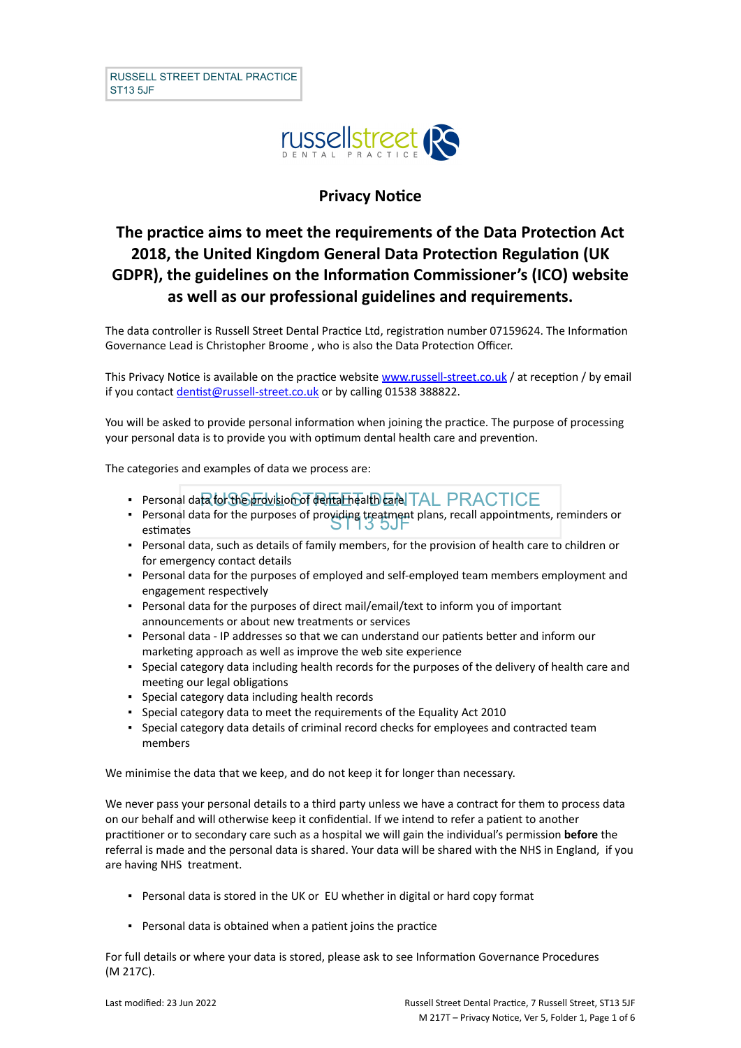

# **Privacy Notice**

# **The practice aims to meet the requirements of the Data Protection Act 2018, the United Kingdom General Data Protection Regulation (UK GDPR), the guidelines on the Information Commissioner's (ICO) website as well as our professional guidelines and requirements.**

The data controller is Russell Street Dental Practice Ltd, registration number 07159624. The Information Governance Lead is Christopher Broome , who is also the Data Protection Officer.

This Privacy Notice is available on the practice website [www.russell-street.co.uk](http://www.russell-street.co.uk/) / at reception / by email if you contact [dentist@russell-street.co.uk](mailto:dentist@russell-street.co.uk) or by calling 01538 388822.

You will be asked to provide personal information when joining the practice. The purpose of processing your personal data is to provide you with optimum dental health care and prevention.

The categories and examples of data we process are:

- · Personal data for the provision of dental health care TAL PRACTICE
- **Personal data for the purposes of providing treatment plans, recall appointments, reminders or**<br>**EXECUS OF LIS 5JF** estimates
- Personal data, such as details of family members, for the provision of health care to children or for emergency contact details
- Personal data for the purposes of employed and self-employed team members employment and engagement respectively
- Personal data for the purposes of direct mail/email/text to inform you of important announcements or about new treatments or services
- Personal data IP addresses so that we can understand our patients better and inform our marketing approach as well as improve the web site experience
- Special category data including health records for the purposes of the delivery of health care and meeting our legal obligations
- Special category data including health records
- Special category data to meet the requirements of the Equality Act 2010
- Special category data details of criminal record checks for employees and contracted team members

We minimise the data that we keep, and do not keep it for longer than necessary.

We never pass your personal details to a third party unless we have a contract for them to process data on our behalf and will otherwise keep it confidential. If we intend to refer a patient to another practitioner or to secondary care such as a hospital we will gain the individual's permission **before** the referral is made and the personal data is shared. Your data will be shared with the NHS in England, if you are having NHS treatment.

- Personal data is stored in the UK or EU whether in digital or hard copy format
- Personal data is obtained when a patient joins the practice

For full details or where your data is stored, please ask to see Information Governance Procedures (M 217C).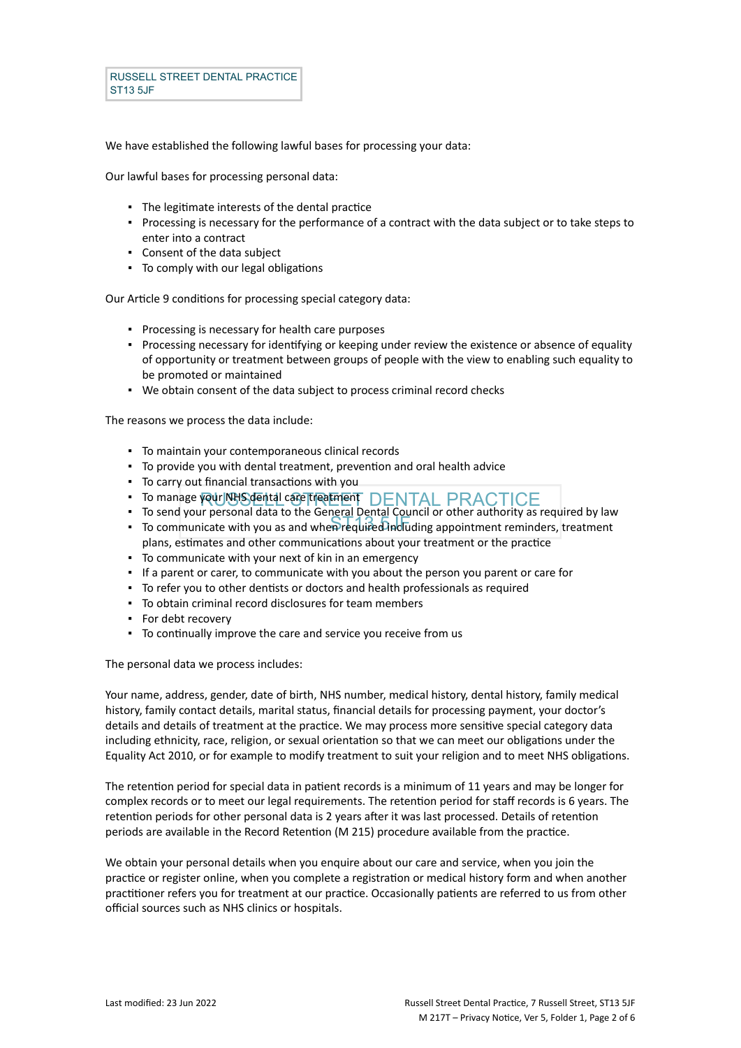We have established the following lawful bases for processing your data:

Our lawful bases for processing personal data:

- The legitimate interests of the dental practice
- Processing is necessary for the performance of a contract with the data subject or to take steps to enter into a contract
- Consent of the data subject
- To comply with our legal obligations

Our Article 9 conditions for processing special category data:

- Processing is necessary for health care purposes
- Processing necessary for identifying or keeping under review the existence or absence of equality of opportunity or treatment between groups of people with the view to enabling such equality to be promoted or maintained
- We obtain consent of the data subject to process criminal record checks

The reasons we process the data include:

- To maintain your contemporaneous clinical records
- To provide you with dental treatment, prevention and oral health advice
- To carry out financial transactions with you
- . To manage your NHS dental care treatment DENTAL PRACTICE
- To send your personal data to the General Dental Council or other authority as required by law
- To communicate with you as and when required including appointment reminders, treatment plans, estimates and other communications about your treatment or the practice
- To communicate with your next of kin in an emergency
- If a parent or carer, to communicate with you about the person you parent or care for
- To refer you to other dentists or doctors and health professionals as required
- To obtain criminal record disclosures for team members
- For debt recovery
- To continually improve the care and service you receive from us

The personal data we process includes:

Your name, address, gender, date of birth, NHS number, medical history, dental history, family medical history, family contact details, marital status, financial details for processing payment, your doctor's details and details of treatment at the practice. We may process more sensitive special category data including ethnicity, race, religion, or sexual orientation so that we can meet our obligations under the Equality Act 2010, or for example to modify treatment to suit your religion and to meet NHS obligations.

The retention period for special data in patient records is a minimum of 11 years and may be longer for complex records or to meet our legal requirements. The retention period for staff records is 6 years. The retention periods for other personal data is 2 years after it was last processed. Details of retention periods are available in the Record Retention (M 215) procedure available from the practice.

We obtain your personal details when you enquire about our care and service, when you join the practice or register online, when you complete a registration or medical history form and when another practitioner refers you for treatment at our practice. Occasionally patients are referred to us from other official sources such as NHS clinics or hospitals.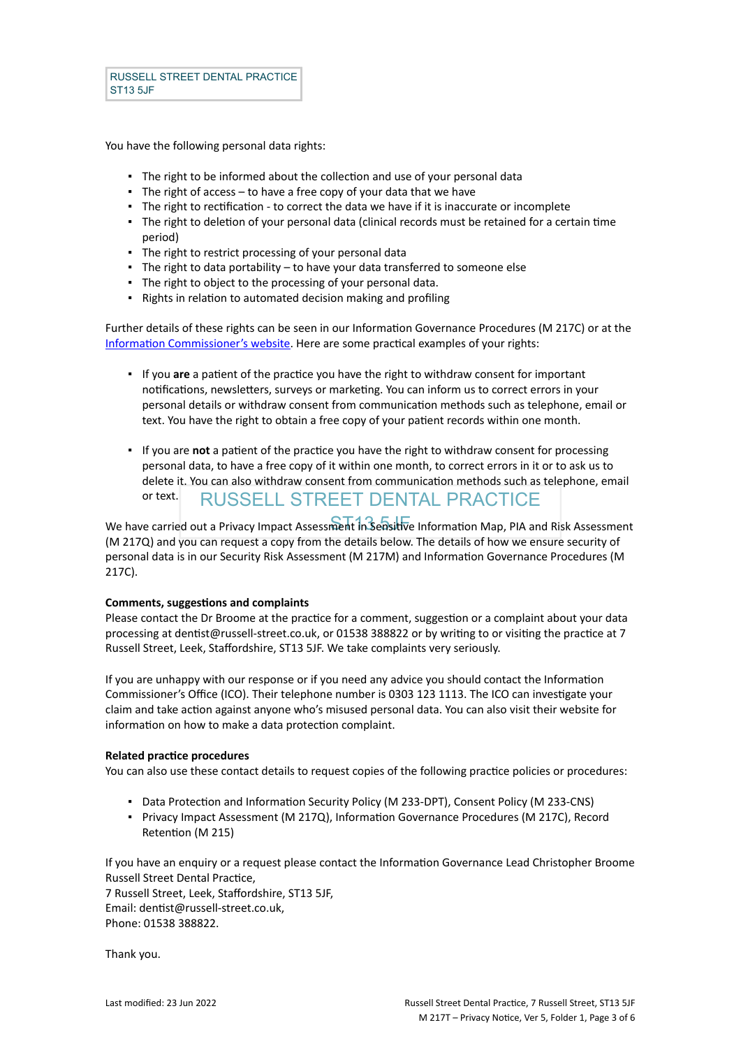You have the following personal data rights:

- **.** The right to be informed about the collection and use of your personal data
- **•** The right of access  $-$  to have a free copy of your data that we have
- The right to rectification to correct the data we have if it is inaccurate or incomplete
- The right to deletion of your personal data (clinical records must be retained for a certain time period)
- The right to restrict processing of your personal data
- The right to data portability to have your data transferred to someone else
- The right to object to the processing of your personal data.
- Rights in relation to automated decision making and profiling

Further details of these rights can be seen in our Information Governance Procedures (M 217C) or at the [Information Commissioner's website](https://ico.org.uk/for-organisations/guide-to-the-general-data-protection-regulation-gdpr/individual-rights/). Here are some practical examples of your rights:

- If you **are** a patient of the practice you have the right to withdraw consent for important notifications, newsletters, surveys or marketing. You can inform us to correct errors in your personal details or withdraw consent from communication methods such as telephone, email or text. You have the right to obtain a free copy of your patient records within one month.
- RUSSELL STREET DENTAL PRACTICE ▪ If you are **not** a patient of the practice you have the right to withdraw consent for processing personal data, to have a free copy of it within one month, to correct errors in it or to ask us to delete it. You can also withdraw consent from communication methods such as telephone, email or text.

We have carried out a Privacy Impact Assessment in Sensitive Information Map, PIA and Risk Assessment (M 217Q) and you can request a copy from the details below. The details of how we ensure security of personal data is in our Security Risk Assessment (M 217M) and Information Governance Procedures (M 217C).

### **Comments, suggestions and complaints**

Please contact the Dr Broome at the practice for a comment, suggestion or a complaint about your data processing at dentist@russell-street.co.uk, or 01538 388822 or by writing to or visiting the practice at 7 Russell Street, Leek, Staffordshire, ST13 5JF. We take complaints very seriously.

If you are unhappy with our response or if you need any advice you should contact the Information Commissioner's Office (ICO). Their telephone number is 0303 123 1113. The ICO can investigate your claim and take action against anyone who's misused personal data. You can also visit their website for information on how to make a data protection complaint.

#### **Related practice procedures**

You can also use these contact details to request copies of the following practice policies or procedures:

- Data Protection and Information Security Policy (M 233-DPT), Consent Policy (M 233-CNS)
- Privacy Impact Assessment (M 217Q), Information Governance Procedures (M 217C), Record Retention (M 215)

If you have an enquiry or a request please contact the Information Governance Lead Christopher Broome Russell Street Dental Practice,

7 Russell Street, Leek, Staffordshire, ST13 5JF, Email: dentist@russell-street.co.uk, Phone: 01538 388822.

Thank you.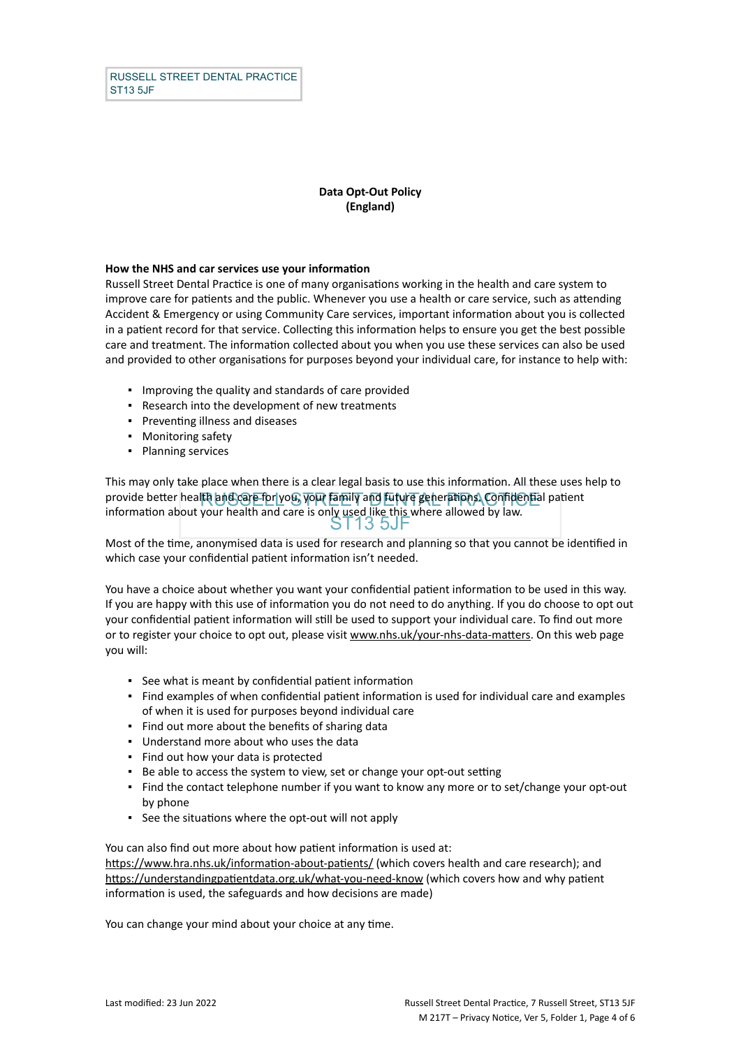## **Data Opt-Out Policy (England)**

#### **How the NHS and car services use your information**

Russell Street Dental Practice is one of many organisations working in the health and care system to improve care for patients and the public. Whenever you use a health or care service, such as attending Accident & Emergency or using Community Care services, important information about you is collected in a patient record for that service. Collecting this information helps to ensure you get the best possible care and treatment. The information collected about you when you use these services can also be used and provided to other organisations for purposes beyond your individual care, for instance to help with:

- Improving the quality and standards of care provided
- Research into the development of new treatments
- Preventing illness and diseases
- Monitoring safety
- Planning services

provide better health and care for you, your family and future generations. Confidential patient ST13 5JF This may only take place when there is a clear legal basis to use this information. All these uses help to information about your health and care is only used like this where allowed by law.

Most of the time, anonymised data is used for research and planning so that you cannot be identified in which case your confidential patient information isn't needed.

You have a choice about whether you want your confidential patient information to be used in this way. If you are happy with this use of information you do not need to do anything. If you do choose to opt out your confidential patient information will still be used to support your individual care. To find out more or to register your choice to opt out, please visit [www.nhs.uk/your-nhs-data-matters](http://www.nhs.uk/your-nhs-data-matters). On this web page you will:

- See what is meant by confidential patient information
- Find examples of when confidential patient information is used for individual care and examples of when it is used for purposes beyond individual care
- Find out more about the benefits of sharing data
- Understand more about who uses the data
- Find out how your data is protected
- Be able to access the system to view, set or change your opt-out setting
- Find the contact telephone number if you want to know any more or to set/change your opt-out by phone
- See the situations where the opt-out will not apply

You can also find out more about how patient information is used at: [https://www.hra.nhs.uk/information-about-patients/](https://www.hra.nhs.uk/information-about-patients/%20) (which covers health and care research); and <https://understandingpatientdata.org.uk/what-you-need-know> (which covers how and why patient information is used, the safeguards and how decisions are made)

You can change your mind about your choice at any time.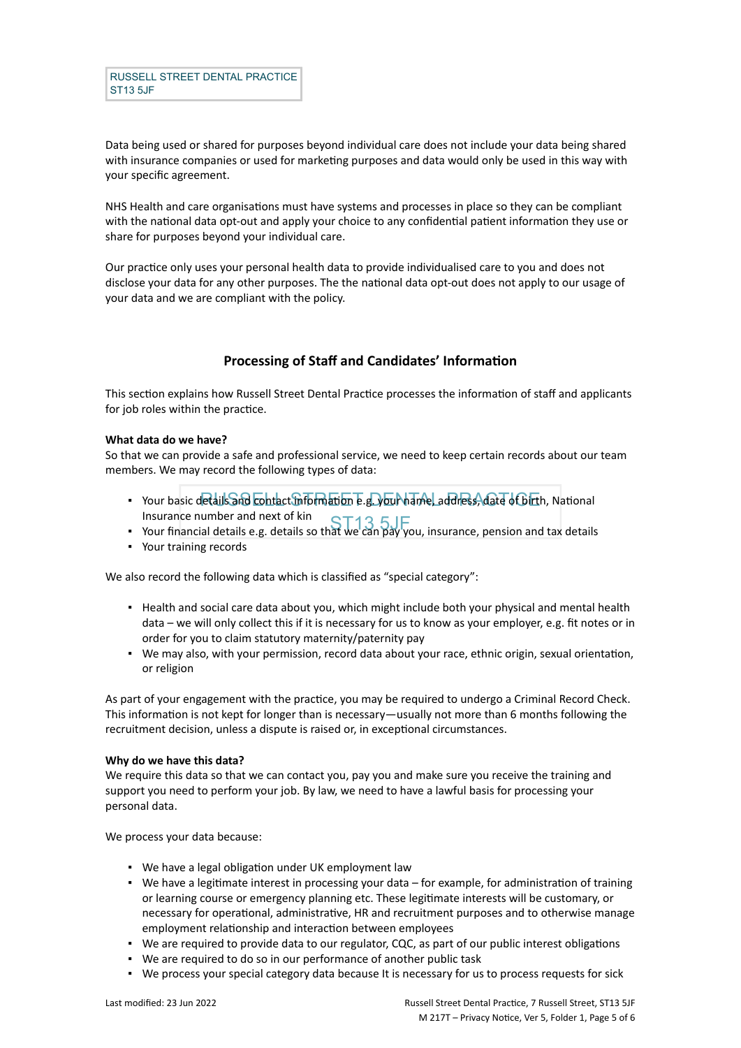Data being used or shared for purposes beyond individual care does not include your data being shared with insurance companies or used for marketing purposes and data would only be used in this way with your specific agreement.

NHS Health and care organisations must have systems and processes in place so they can be compliant with the national data opt-out and apply your choice to any confidential patient information they use or share for purposes beyond your individual care.

Our practice only uses your personal health data to provide individualised care to you and does not disclose your data for any other purposes. The the national data opt-out does not apply to our usage of your data and we are compliant with the policy.

# **Processing of Staff and Candidates' Information**

This section explains how Russell Street Dental Practice processes the information of staff and applicants for job roles within the practice.

### **What data do we have?**

So that we can provide a safe and professional service, we need to keep certain records about our team members. We may record the following types of data:

- Your basic details and contact information e.g. your hame, address, date of birth, National Insurance number and next of kin
- Insurance number and next of kin<br>• Your financial details e.g. details so that we can pay you, insurance, pension and tax details
- Your training records

We also record the following data which is classified as "special category":

- Health and social care data about you, which might include both your physical and mental health data – we will only collect this if it is necessary for us to know as your employer, e.g. fit notes or in order for you to claim statutory maternity/paternity pay
- We may also, with your permission, record data about your race, ethnic origin, sexual orientation, or religion

As part of your engagement with the practice, you may be required to undergo a Criminal Record Check. This information is not kept for longer than is necessary—usually not more than 6 months following the recruitment decision, unless a dispute is raised or, in exceptional circumstances.

### **Why do we have this data?**

We require this data so that we can contact you, pay you and make sure you receive the training and support you need to perform your job. By law, we need to have a lawful basis for processing your personal data.

We process your data because:

- We have a legal obligation under UK employment law
- We have a legitimate interest in processing your data for example, for administration of training or learning course or emergency planning etc. These legitimate interests will be customary, or necessary for operational, administrative, HR and recruitment purposes and to otherwise manage employment relationship and interaction between employees
- We are required to provide data to our regulator, CQC, as part of our public interest obligations
- We are required to do so in our performance of another public task
- We process your special category data because It is necessary for us to process requests for sick